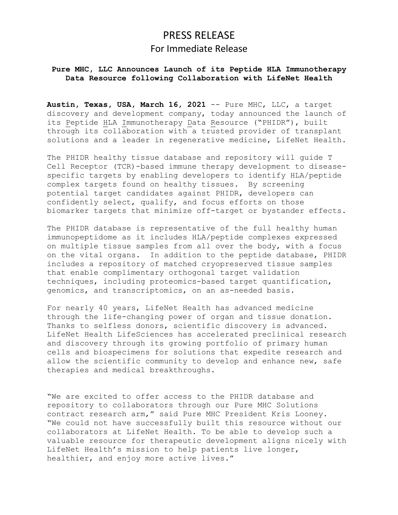# PRESS RELEASE For Immediate Release

# **Pure MHC, LLC Announces Launch of its Peptide HLA Immunotherapy Data Resource following Collaboration with LifeNet Health**

**Austin, Texas, USA, March 16, 2021** -- Pure MHC, LLC, a target discovery and development company, today announced the launch of its Peptide HLA Immunotherapy Data Resource ("PHIDR"), built through its collaboration with a trusted provider of transplant solutions and a leader in regenerative medicine, LifeNet Health.

The PHIDR healthy tissue database and repository will guide T Cell Receptor (TCR)-based immune therapy development to diseasespecific targets by enabling developers to identify HLA/peptide complex targets found on healthy tissues. By screening potential target candidates against PHIDR, developers can confidently select, qualify, and focus efforts on those biomarker targets that minimize off-target or bystander effects.

The PHIDR database is representative of the full healthy human immunopeptidome as it includes HLA/peptide complexes expressed on multiple tissue samples from all over the body, with a focus on the vital organs. In addition to the peptide database, PHIDR includes a repository of matched cryopreserved tissue samples that enable complimentary orthogonal target validation techniques, including proteomics-based target quantification, genomics, and transcriptomics, on an as-needed basis.

For nearly 40 years, LifeNet Health has advanced medicine through the life-changing power of organ and tissue donation. Thanks to selfless donors, scientific discovery is advanced. LifeNet Health LifeSciences has accelerated preclinical research and discovery through its growing portfolio of primary human cells and biospecimens for solutions that expedite research and allow the scientific community to develop and enhance new, safe therapies and medical breakthroughs.

"We are excited to offer access to the PHIDR database and repository to collaborators through our Pure MHC Solutions contract research arm," said Pure MHC President Kris Looney. "We could not have successfully built this resource without our collaborators at LifeNet Health. To be able to develop such a valuable resource for therapeutic development aligns nicely with LifeNet Health's mission to help patients live longer, healthier, and enjoy more active lives."